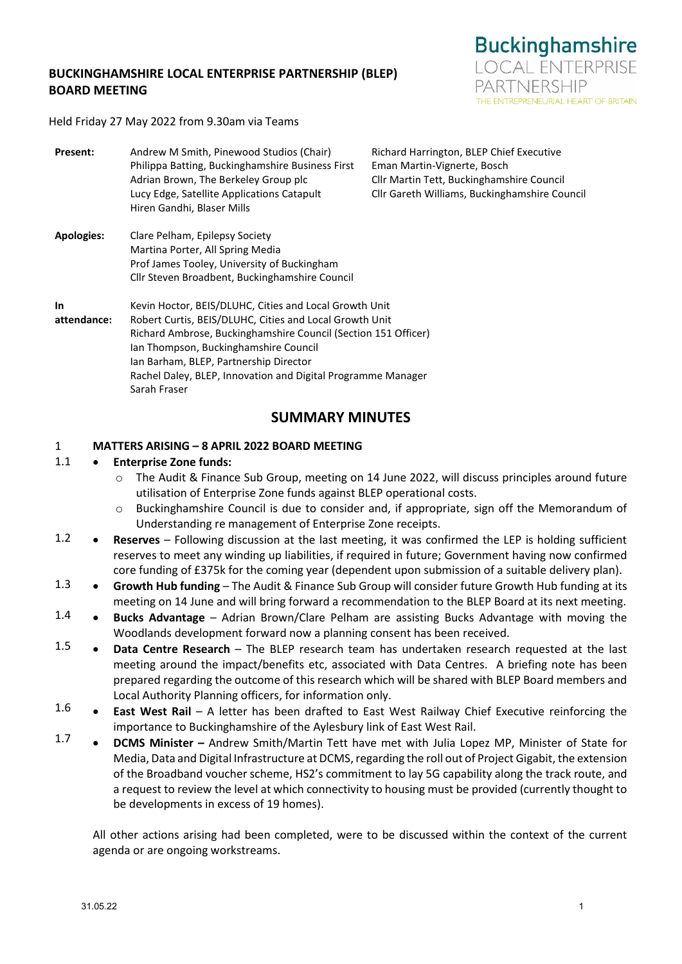## **BUCKINGHAMSHIRE LOCAL ENTERPRISE PARTNERSHIP (BLEP) BOARD MEETING**



Held Friday 27 May 2022 from 9.30am via Teams

| Present:                 | Andrew M Smith, Pinewood Studios (Chair)<br>Philippa Batting, Buckinghamshire Business First<br>Adrian Brown, The Berkeley Group plc<br>Lucy Edge, Satellite Applications Catapult<br>Hiren Gandhi, Blaser Mills                                                                                                                                       | Richard Harrington, BLEP Chief Executive<br>Eman Martin-Vignerte, Bosch<br>Cllr Martin Tett, Buckinghamshire Council<br>Cllr Gareth Williams, Buckinghamshire Council |
|--------------------------|--------------------------------------------------------------------------------------------------------------------------------------------------------------------------------------------------------------------------------------------------------------------------------------------------------------------------------------------------------|-----------------------------------------------------------------------------------------------------------------------------------------------------------------------|
| <b>Apologies:</b>        | Clare Pelham, Epilepsy Society<br>Martina Porter, All Spring Media<br>Prof James Tooley, University of Buckingham<br>Cllr Steven Broadbent, Buckinghamshire Council                                                                                                                                                                                    |                                                                                                                                                                       |
| <b>In</b><br>attendance: | Kevin Hoctor, BEIS/DLUHC, Cities and Local Growth Unit<br>Robert Curtis, BEIS/DLUHC, Cities and Local Growth Unit<br>Richard Ambrose, Buckinghamshire Council (Section 151 Officer)<br>lan Thompson, Buckinghamshire Council<br>Ian Barham, BLEP, Partnership Director<br>Rachel Daley, BLEP, Innovation and Digital Programme Manager<br>Sarah Fraser |                                                                                                                                                                       |
|                          |                                                                                                                                                                                                                                                                                                                                                        |                                                                                                                                                                       |

# **SUMMARY MINUTES**

#### 1 **MATTERS ARISING – 8 APRIL 2022 BOARD MEETING**

#### 1.1 • **Enterprise Zone funds:**

- o The Audit & Finance Sub Group, meeting on 14 June 2022, will discuss principles around future utilisation of Enterprise Zone funds against BLEP operational costs.
- o Buckinghamshire Council is due to consider and, if appropriate, sign off the Memorandum of Understanding re management of Enterprise Zone receipts.
- 1.2 • **Reserves** – Following discussion at the last meeting, it was confirmed the LEP is holding sufficient reserves to meet any winding up liabilities, if required in future; Government having now confirmed core funding of £375k for the coming year (dependent upon submission of a suitable delivery plan).
- 1.3 • **Growth Hub funding** – The Audit & Finance Sub Group will consider future Growth Hub funding at its meeting on 14 June and will bring forward a recommendation to the BLEP Board at its next meeting.
- 1.4 • **Bucks Advantage** – Adrian Brown/Clare Pelham are assisting Bucks Advantage with moving the Woodlands development forward now a planning consent has been received.
- 1.5 • **Data Centre Research** – The BLEP research team has undertaken research requested at the last meeting around the impact/benefits etc, associated with Data Centres. A briefing note has been prepared regarding the outcome of this research which will be shared with BLEP Board members and Local Authority Planning officers, for information only.
- 1.6 • **East West Rail** – A letter has been drafted to East West Railway Chief Executive reinforcing the importance to Buckinghamshire of the Aylesbury link of East West Rail.
- 1.7 • **DCMS Minister –** Andrew Smith/Martin Tett have met with Julia Lopez MP, Minister of State for Media, Data and Digital Infrastructure at DCMS, regarding the roll out of Project Gigabit, the extension of the Broadband voucher scheme, HS2's commitment to lay 5G capability along the track route, and a request to review the level at which connectivity to housing must be provided (currently thought to be developments in excess of 19 homes).

All other actions arising had been completed, were to be discussed within the context of the current agenda or are ongoing workstreams.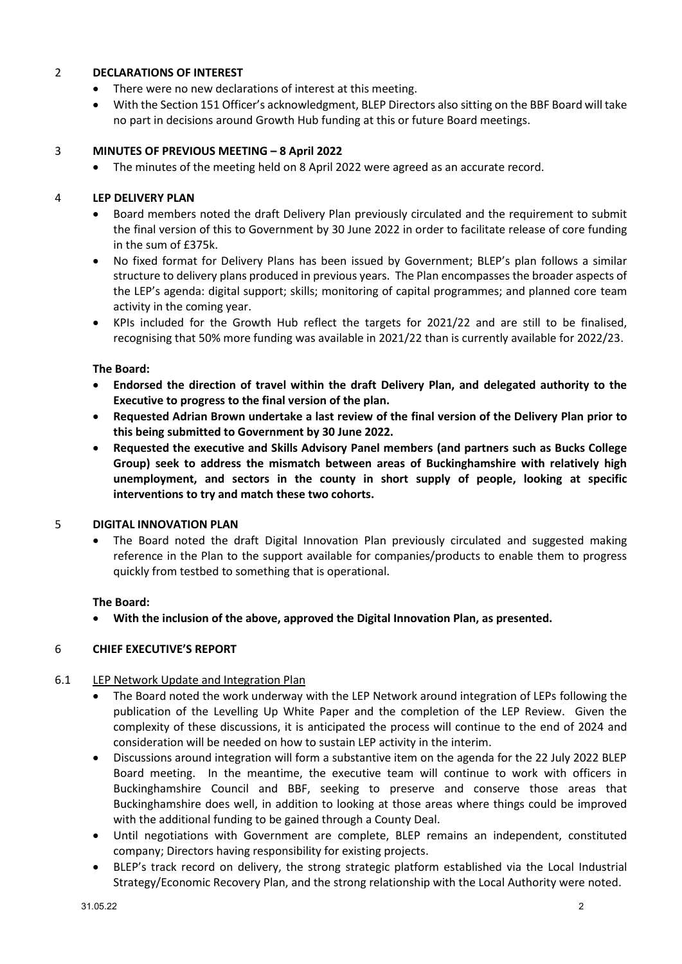## 2 **DECLARATIONS OF INTEREST**

- There were no new declarations of interest at this meeting.
- With the Section 151 Officer's acknowledgment, BLEP Directors also sitting on the BBF Board will take no part in decisions around Growth Hub funding at this or future Board meetings.

# 3 **MINUTES OF PREVIOUS MEETING – 8 April 2022**

• The minutes of the meeting held on 8 April 2022 were agreed as an accurate record.

## 4 **LEP DELIVERY PLAN**

- Board members noted the draft Delivery Plan previously circulated and the requirement to submit the final version of this to Government by 30 June 2022 in order to facilitate release of core funding in the sum of £375k.
- No fixed format for Delivery Plans has been issued by Government; BLEP's plan follows a similar structure to delivery plans produced in previous years. The Plan encompasses the broader aspects of the LEP's agenda: digital support; skills; monitoring of capital programmes; and planned core team activity in the coming year.
- KPIs included for the Growth Hub reflect the targets for 2021/22 and are still to be finalised, recognising that 50% more funding was available in 2021/22 than is currently available for 2022/23.

## **The Board:**

- **Endorsed the direction of travel within the draft Delivery Plan, and delegated authority to the Executive to progress to the final version of the plan.**
- **Requested Adrian Brown undertake a last review of the final version of the Delivery Plan prior to this being submitted to Government by 30 June 2022.**
- **Requested the executive and Skills Advisory Panel members (and partners such as Bucks College Group) seek to address the mismatch between areas of Buckinghamshire with relatively high unemployment, and sectors in the county in short supply of people, looking at specific interventions to try and match these two cohorts.**

# 5 **DIGITAL INNOVATION PLAN**

• The Board noted the draft Digital Innovation Plan previously circulated and suggested making reference in the Plan to the support available for companies/products to enable them to progress quickly from testbed to something that is operational.

# **The Board:**

• **With the inclusion of the above, approved the Digital Innovation Plan, as presented.**

#### 6 **CHIEF EXECUTIVE'S REPORT**

#### 6.1 LEP Network Update and Integration Plan

- The Board noted the work underway with the LEP Network around integration of LEPs following the publication of the Levelling Up White Paper and the completion of the LEP Review. Given the complexity of these discussions, it is anticipated the process will continue to the end of 2024 and consideration will be needed on how to sustain LEP activity in the interim.
- Discussions around integration will form a substantive item on the agenda for the 22 July 2022 BLEP Board meeting. In the meantime, the executive team will continue to work with officers in Buckinghamshire Council and BBF, seeking to preserve and conserve those areas that Buckinghamshire does well, in addition to looking at those areas where things could be improved with the additional funding to be gained through a County Deal.
- Until negotiations with Government are complete, BLEP remains an independent, constituted company; Directors having responsibility for existing projects.
- BLEP's track record on delivery, the strong strategic platform established via the Local Industrial Strategy/Economic Recovery Plan, and the strong relationship with the Local Authority were noted.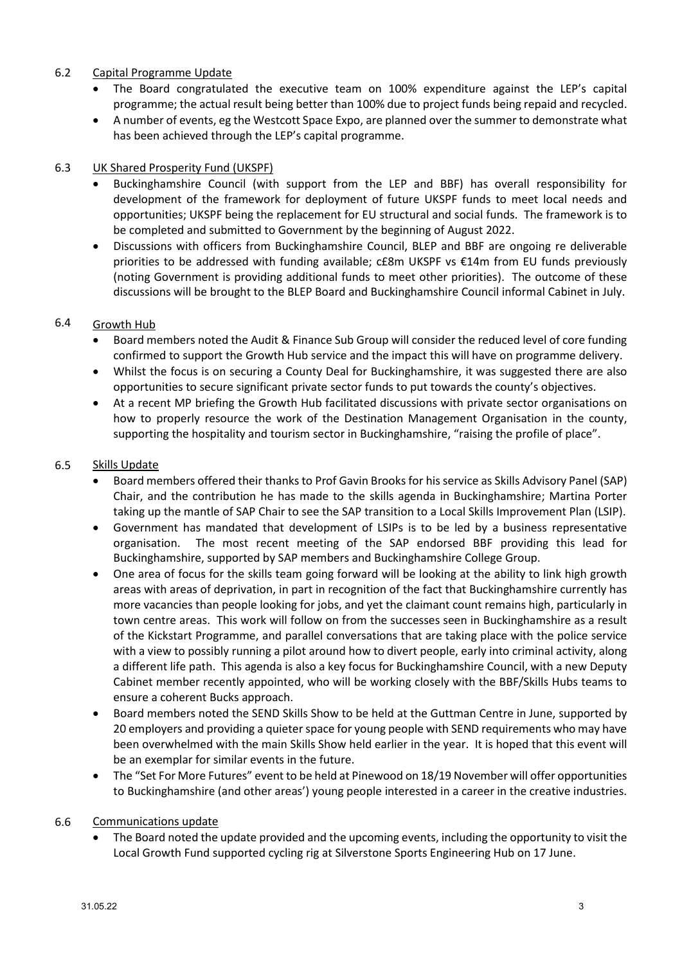### 6.2 Capital Programme Update

- The Board congratulated the executive team on 100% expenditure against the LEP's capital programme; the actual result being better than 100% due to project funds being repaid and recycled.
- A number of events, eg the Westcott Space Expo, are planned over the summer to demonstrate what has been achieved through the LEP's capital programme.

### 6.3 UK Shared Prosperity Fund (UKSPF)

- Buckinghamshire Council (with support from the LEP and BBF) has overall responsibility for development of the framework for deployment of future UKSPF funds to meet local needs and opportunities; UKSPF being the replacement for EU structural and social funds. The framework is to be completed and submitted to Government by the beginning of August 2022.
- Discussions with officers from Buckinghamshire Council, BLEP and BBF are ongoing re deliverable priorities to be addressed with funding available; c£8m UKSPF vs €14m from EU funds previously (noting Government is providing additional funds to meet other priorities). The outcome of these discussions will be brought to the BLEP Board and Buckinghamshire Council informal Cabinet in July.

### 6.4 Growth Hub

- Board members noted the Audit & Finance Sub Group will consider the reduced level of core funding confirmed to support the Growth Hub service and the impact this will have on programme delivery.
- Whilst the focus is on securing a County Deal for Buckinghamshire, it was suggested there are also opportunities to secure significant private sector funds to put towards the county's objectives.
- At a recent MP briefing the Growth Hub facilitated discussions with private sector organisations on how to properly resource the work of the Destination Management Organisation in the county, supporting the hospitality and tourism sector in Buckinghamshire, "raising the profile of place".

### 6.5 Skills Update

- Board members offered their thanks to Prof Gavin Brooks for his service as Skills Advisory Panel (SAP) Chair, and the contribution he has made to the skills agenda in Buckinghamshire; Martina Porter taking up the mantle of SAP Chair to see the SAP transition to a Local Skills Improvement Plan (LSIP).
- Government has mandated that development of LSIPs is to be led by a business representative organisation. The most recent meeting of the SAP endorsed BBF providing this lead for Buckinghamshire, supported by SAP members and Buckinghamshire College Group.
- One area of focus for the skills team going forward will be looking at the ability to link high growth areas with areas of deprivation, in part in recognition of the fact that Buckinghamshire currently has more vacancies than people looking for jobs, and yet the claimant count remains high, particularly in town centre areas. This work will follow on from the successes seen in Buckinghamshire as a result of the Kickstart Programme, and parallel conversations that are taking place with the police service with a view to possibly running a pilot around how to divert people, early into criminal activity, along a different life path. This agenda is also a key focus for Buckinghamshire Council, with a new Deputy Cabinet member recently appointed, who will be working closely with the BBF/Skills Hubs teams to ensure a coherent Bucks approach.
- Board members noted the SEND Skills Show to be held at the Guttman Centre in June, supported by 20 employers and providing a quieter space for young people with SEND requirements who may have been overwhelmed with the main Skills Show held earlier in the year. It is hoped that this event will be an exemplar for similar events in the future.
- The "Set For More Futures" event to be held at Pinewood on 18/19 November will offer opportunities to Buckinghamshire (and other areas') young people interested in a career in the creative industries.

### 6.6 Communications update

• The Board noted the update provided and the upcoming events, including the opportunity to visit the Local Growth Fund supported cycling rig at Silverstone Sports Engineering Hub on 17 June.